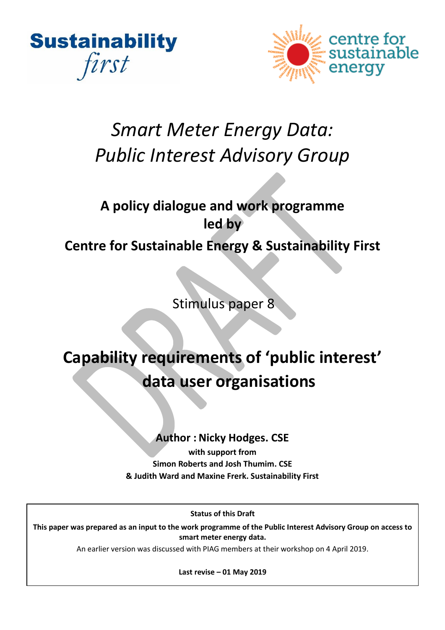



# *Smart Meter Energy Data: Public Interest Advisory Group*

# **A policy dialogue and work programme led by Centre for Sustainable Energy & Sustainability First**

Stimulus paper 8

# **Capability requirements of 'public interest' data user organisations**

# **Author : Nicky Hodges. CSE**

**with support from Simon Roberts and Josh Thumim. CSE & Judith Ward and Maxine Frerk. Sustainability First**

**Status of this Draft**

**This paper was prepared as an input to the work programme of the Public Interest Advisory Group on access to smart meter energy data.**

An earlier version was discussed with PIAG members at their workshop on 4 April 2019.

**Last revise – 01 May 2019**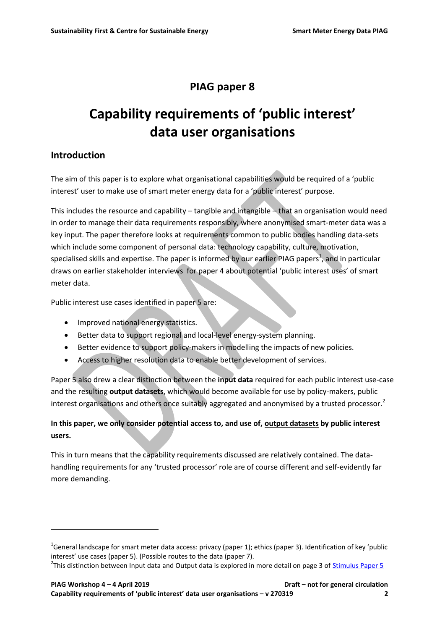# **PIAG paper 8**

# **Capability requirements of 'public interest' data user organisations**

## **Introduction**

 $\overline{a}$ 

The aim of this paper is to explore what organisational capabilities would be required of a 'public interest' user to make use of smart meter energy data for a 'public interest' purpose.

This includes the resource and capability – tangible and intangible – that an organisation would need in order to manage their data requirements responsibly, where anonymised smart-meter data was a key input. The paper therefore looks at requirements common to public bodies handling data-sets which include some component of personal data: technology capability, culture, motivation, specialised skills and expertise. The paper is informed by our earlier PIAG papers<sup>1</sup>, and in particular draws on earlier stakeholder interviews for paper 4 about potential 'public interest uses' of smart meter data.

Public interest use cases identified in paper 5 are:

- Improved national energy statistics.
- Better data to support regional and local-level energy-system planning.
- Better evidence to support policy-makers in modelling the impacts of new policies.
- Access to higher resolution data to enable better development of services.

Paper 5 also drew a clear distinction between the **input data** required for each public interest use-case and the resulting **output datasets**, which would become available for use by policy-makers, public interest organisations and others once suitably aggregated and anonymised by a trusted processor.<sup>2</sup>

#### **In this paper, we only consider potential access to, and use of, output datasets by public interest users.**

This in turn means that the capability requirements discussed are relatively contained. The datahandling requirements for any 'trusted processor' role are of course different and self-evidently far more demanding.

<sup>&</sup>lt;sup>1</sup>General landscape for smart meter data access: privacy (paper 1); ethics (paper 3). Identification of key 'public interest' use cases (paper 5). (Possible routes to the data (paper 7).

<sup>&</sup>lt;sup>2</sup>This distinction between Input data and Output data is explored in more detail on page 3 of <u>Stimulus Paper 5</u>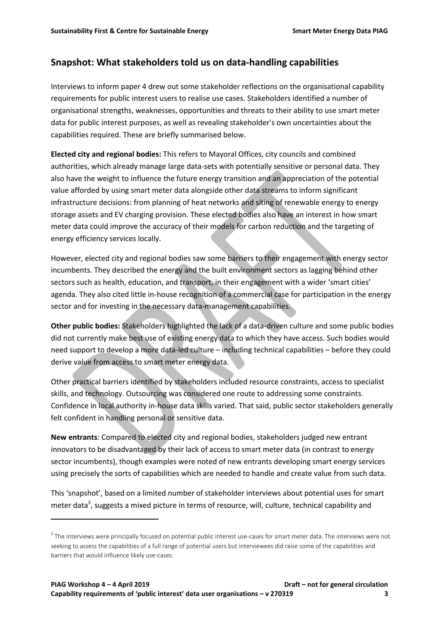#### **Snapshot: What stakeholders told us on data-handling capabilities**

Interviews to inform paper 4 drew out some stakeholder reflections on the organisational capability requirements for public interest users to realise use cases. Stakeholders identified a number of organisational strengths, weaknesses, opportunities and threats to their ability to use smart meter data for public interest purposes, as well as revealing stakeholder's own uncertainties about the capabilities required. These are briefly summarised below.

**Elected city and regional bodies:** This refers to Mayoral Offices, city councils and combined authorities, which already manage large data-sets with potentially sensitive or personal data. They also have the weight to influence the future energy transition and an appreciation of the potential value afforded by using smart meter data alongside other data streams to inform significant infrastructure decisions: from planning of heat networks and siting of renewable energy to energy storage assets and EV charging provision. These elected bodies also have an interest in how smart meter data could improve the accuracy of their models for carbon reduction and the targeting of energy efficiency services locally.

However, elected city and regional bodies saw some barriers to their engagement with energy sector incumbents. They described the energy and the built environment sectors as lagging behind other sectors such as health, education, and transport, in their engagement with a wider 'smart cities' agenda. They also cited little in-house recognition of a commercial case for participation in the energy sector and for investing in the necessary data-management capabilities.

**Other public bodies:** Stakeholders highlighted the lack of a data-driven culture and some public bodies did not currently make best use of existing energy data to which they have access. Such bodies would need support to develop a more data-led culture – including technical capabilities – before they could derive value from access to smart meter energy data.

Other practical barriers identified by stakeholders included resource constraints, access to specialist skills, and technology. Outsourcing was considered one route to addressing some constraints. Confidence in local authority in-house data skills varied. That said, public sector stakeholders generally felt confident in handling personal or sensitive data.

**New entrants**: Compared to elected city and regional bodies, stakeholders judged new entrant innovators to be disadvantaged by their lack of access to smart meter data (in contrast to energy sector incumbents), though examples were noted of new entrants developing smart energy services using precisely the sorts of capabilities which are needed to handle and create value from such data.

This 'snapshot', based on a limited number of stakeholder interviews about potential uses for smart meter data<sup>3</sup>, suggests a mixed picture in terms of resource, will, culture, technical capability and

 $\overline{\phantom{a}}$ 

 $^3$  The interviews were principally focused on potential public interest use-cases for smart meter data. The interviews were not seeking to assess the capabilities of a full range of potential users but interviewees did raise some of the capabilities and barriers that would influence likely use-cases.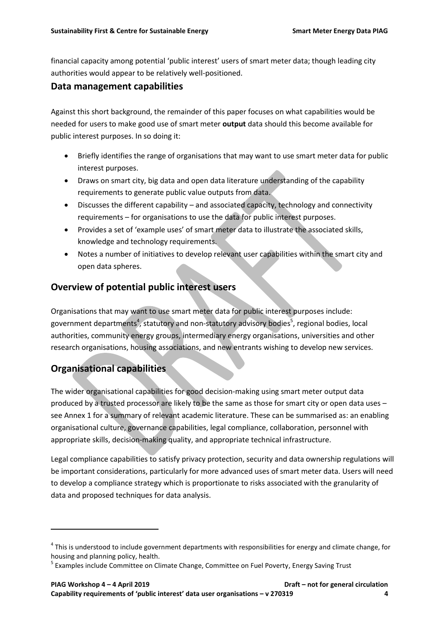financial capacity among potential 'public interest' users of smart meter data; though leading city authorities would appear to be relatively well-positioned.

## **Data management capabilities**

Against this short background, the remainder of this paper focuses on what capabilities would be needed for users to make good use of smart meter **output** data should this become available for public interest purposes. In so doing it:

- Briefly identifies the range of organisations that may want to use smart meter data for public interest purposes.
- Draws on smart city, big data and open data literature understanding of the capability requirements to generate public value outputs from data.
- Discusses the different capability and associated capacity, technology and connectivity requirements – for organisations to use the data for public interest purposes.
- Provides a set of 'example uses' of smart meter data to illustrate the associated skills, knowledge and technology requirements.
- Notes a number of initiatives to develop relevant user capabilities within the smart city and open data spheres.

# **Overview of potential public interest users**

Organisations that may want to use smart meter data for public interest purposes include: government departments<sup>4</sup>, statutory and non-statutory advisory bodies<sup>5</sup>, regional bodies, local authorities, community energy groups, intermediary energy organisations, universities and other research organisations, housing associations, and new entrants wishing to develop new services.

# **Organisational capabilities**

 $\overline{a}$ 

The wider organisational capabilities for good decision-making using smart meter output data produced by a trusted processor are likely to be the same as those for smart city or open data uses – see Annex 1 for a summary of relevant academic literature. These can be summarised as: an enabling organisational culture, governance capabilities, legal compliance, collaboration, personnel with appropriate skills, decision-making quality, and appropriate technical infrastructure.

Legal compliance capabilities to satisfy privacy protection, security and data ownership regulations will be important considerations, particularly for more advanced uses of smart meter data. Users will need to develop a compliance strategy which is proportionate to risks associated with the granularity of data and proposed techniques for data analysis.

<sup>&</sup>lt;sup>4</sup> This is understood to include government departments with responsibilities for energy and climate change, for housing and planning policy, health.

<sup>&</sup>lt;sup>5</sup> Examples include Committee on Climate Change, Committee on Fuel Poverty, Energy Saving Trust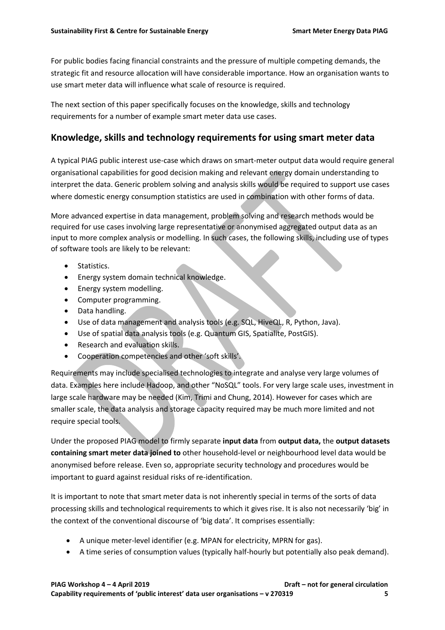For public bodies facing financial constraints and the pressure of multiple competing demands, the strategic fit and resource allocation will have considerable importance. How an organisation wants to use smart meter data will influence what scale of resource is required.

The next section of this paper specifically focuses on the knowledge, skills and technology requirements for a number of example smart meter data use cases.

# **Knowledge, skills and technology requirements for using smart meter data**

A typical PIAG public interest use-case which draws on smart-meter output data would require general organisational capabilities for good decision making and relevant energy domain understanding to interpret the data. Generic problem solving and analysis skills would be required to support use cases where domestic energy consumption statistics are used in combination with other forms of data.

More advanced expertise in data management, problem solving and research methods would be required for use cases involving large representative or anonymised aggregated output data as an input to more complex analysis or modelling. In such cases, the following skills, including use of types of software tools are likely to be relevant:

- Statistics.
- Energy system domain technical knowledge.
- Energy system modelling.
- Computer programming.
- Data handling.
- Use of data management and analysis tools (e.g. SQL, HiveQL, R, Python, Java).
- Use of spatial data analysis tools (e.g. Quantum GIS, Spatialite, PostGIS).
- Research and evaluation skills.
- Cooperation competencies and other 'soft skills'.

Requirements may include specialised technologies to integrate and analyse very large volumes of data. Examples here include Hadoop, and other "NoSQL" tools. For very large scale uses, investment in large scale hardware may be needed (Kim, Trimi and Chung, 2014). However for cases which are smaller scale, the data analysis and storage capacity required may be much more limited and not require special tools.

Under the proposed PIAG model to firmly separate **input data** from **output data,** the **output datasets containing smart meter data joined to** other household-level or neighbourhood level data would be anonymised before release. Even so, appropriate security technology and procedures would be important to guard against residual risks of re-identification.

It is important to note that smart meter data is not inherently special in terms of the sorts of data processing skills and technological requirements to which it gives rise. It is also not necessarily 'big' in the context of the conventional discourse of 'big data'. It comprises essentially:

- A unique meter-level identifier (e.g. MPAN for electricity, MPRN for gas).
- A time series of consumption values (typically half-hourly but potentially also peak demand).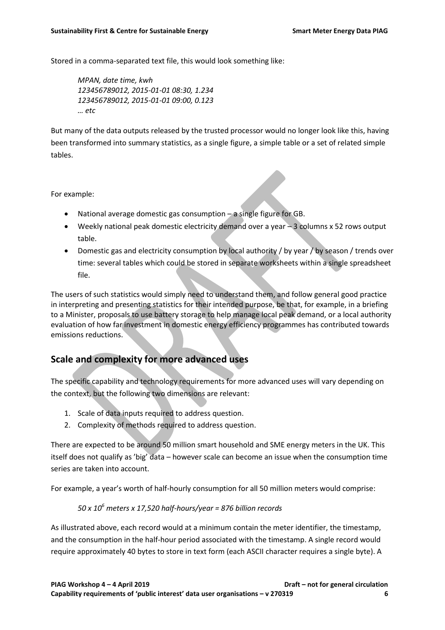Stored in a comma-separated text file, this would look something like:

*MPAN, date time, kwh 123456789012, 2015-01-01 08:30, 1.234 123456789012, 2015-01-01 09:00, 0.123 … etc*

But many of the data outputs released by the trusted processor would no longer look like this, having been transformed into summary statistics, as a single figure, a simple table or a set of related simple tables.

For example:

- National average domestic gas consumption a single figure for GB.
- Weekly national peak domestic electricity demand over a year 3 columns x 52 rows output table.
- Domestic gas and electricity consumption by local authority / by year / by season / trends over time: several tables which could be stored in separate worksheets within a single spreadsheet file.

The users of such statistics would simply need to understand them, and follow general good practice in interpreting and presenting statistics for their intended purpose, be that, for example, in a briefing to a Minister, proposals to use battery storage to help manage local peak demand, or a local authority evaluation of how far investment in domestic energy efficiency programmes has contributed towards emissions reductions.

# **Scale and complexity for more advanced uses**

The specific capability and technology requirements for more advanced uses will vary depending on the context, but the following two dimensions are relevant:

- 1. Scale of data inputs required to address question.
- 2. Complexity of methods required to address question.

There are expected to be around 50 million smart household and SME energy meters in the UK. This itself does not qualify as 'big' data – however scale can become an issue when the consumption time series are taken into account.

For example, a year's worth of half-hourly consumption for all 50 million meters would comprise:

#### *50 x 10<sup>6</sup> meters x 17,520 half-hours/year = 876 billion records*

As illustrated above, each record would at a minimum contain the meter identifier, the timestamp, and the consumption in the half-hour period associated with the timestamp. A single record would require approximately 40 bytes to store in text form (each ASCII character requires a single byte). A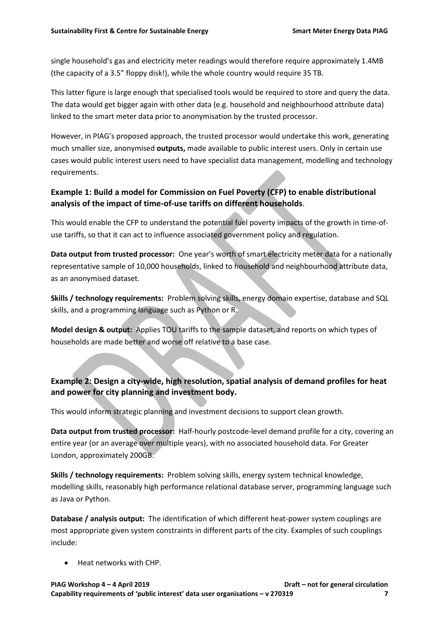single household's gas and electricity meter readings would therefore require approximately 1.4MB (the capacity of a 3.5" floppy disk!), while the whole country would require 35 TB.

This latter figure is large enough that specialised tools would be required to store and query the data. The data would get bigger again with other data (e.g. household and neighbourhood attribute data) linked to the smart meter data prior to anonymisation by the trusted processor.

However, in PIAG's proposed approach, the trusted processor would undertake this work, generating much smaller size, anonymised **outputs,** made available to public interest users. Only in certain use cases would public interest users need to have specialist data management, modelling and technology requirements.

## **Example 1: Build a model for Commission on Fuel Poverty (CFP) to enable distributional analysis of the impact of time-of-use tariffs on different households**.

This would enable the CFP to understand the potential fuel poverty impacts of the growth in time-ofuse tariffs, so that it can act to influence associated government policy and regulation.

**Data output from trusted processor:** One year's worth of smart electricity meter data for a nationally representative sample of 10,000 households, linked to household and neighbourhood attribute data, as an anonymised dataset.

**Skills / technology requirements:** Problem solving skills, energy domain expertise, database and SQL skills, and a programming language such as Python or R.

**Model design & output:** Applies TOU tariffs to the sample dataset, and reports on which types of households are made better and worse off relative to a base case.

## **Example 2: Design a city-wide, high resolution, spatial analysis of demand profiles for heat and power for city planning and investment body.**

This would inform strategic planning and investment decisions to support clean growth.

**Data output from trusted processor:** Half-hourly postcode-level demand profile for a city, covering an entire year (or an average over multiple years), with no associated household data. For Greater London, approximately 200GB.

**Skills / technology requirements:** Problem solving skills, energy system technical knowledge, modelling skills, reasonably high performance relational database server, programming language such as Java or Python.

**Database / analysis output:** The identification of which different heat-power system couplings are most appropriate given system constraints in different parts of the city. Examples of such couplings include:

Heat networks with CHP.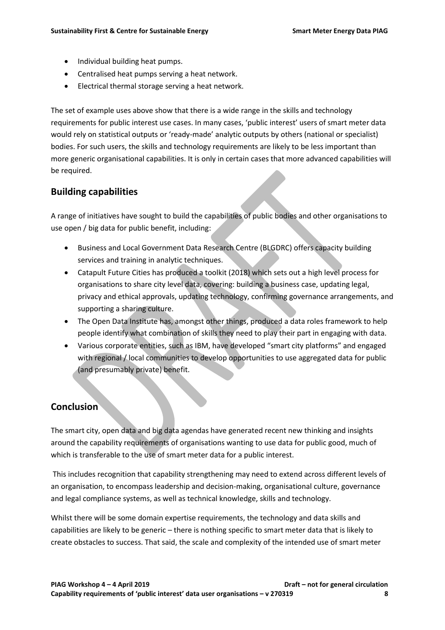- Individual building heat pumps.
- Centralised heat pumps serving a heat network.
- Electrical thermal storage serving a heat network.

The set of example uses above show that there is a wide range in the skills and technology requirements for public interest use cases. In many cases, 'public interest' users of smart meter data would rely on statistical outputs or 'ready-made' analytic outputs by others (national or specialist) bodies. For such users, the skills and technology requirements are likely to be less important than more generic organisational capabilities. It is only in certain cases that more advanced capabilities will be required.

## **Building capabilities**

A range of initiatives have sought to build the capabilities of public bodies and other organisations to use open / big data for public benefit, including:

- Business and Local Government Data Research Centre (BLGDRC) offers capacity building services and training in analytic techniques.
- Catapult Future Cities has produced a toolkit (2018) which sets out a high level process for organisations to share city level data, covering: building a business case, updating legal, privacy and ethical approvals, updating technology, confirming governance arrangements, and supporting a sharing culture.
- The Open Data Institute has, amongst other things, produced a data roles framework to help people identify what combination of skills they need to play their part in engaging with data.
- Various corporate entities, such as IBM, have developed "smart city platforms" and engaged with regional / local communities to develop opportunities to use aggregated data for public (and presumably private) benefit.

# **Conclusion**

The smart city, open data and big data agendas have generated recent new thinking and insights around the capability requirements of organisations wanting to use data for public good, much of which is transferable to the use of smart meter data for a public interest.

This includes recognition that capability strengthening may need to extend across different levels of an organisation, to encompass leadership and decision-making, organisational culture, governance and legal compliance systems, as well as technical knowledge, skills and technology.

Whilst there will be some domain expertise requirements, the technology and data skills and capabilities are likely to be generic – there is nothing specific to smart meter data that is likely to create obstacles to success. That said, the scale and complexity of the intended use of smart meter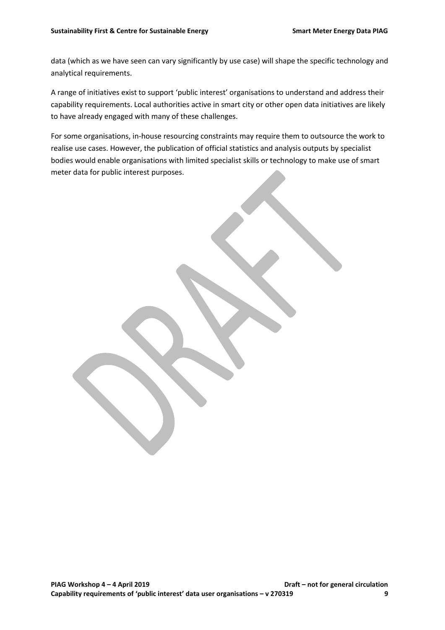data (which as we have seen can vary significantly by use case) will shape the specific technology and analytical requirements.

A range of initiatives exist to support 'public interest' organisations to understand and address their capability requirements. Local authorities active in smart city or other open data initiatives are likely to have already engaged with many of these challenges.

For some organisations, in-house resourcing constraints may require them to outsource the work to realise use cases. However, the publication of official statistics and analysis outputs by specialist bodies would enable organisations with limited specialist skills or technology to make use of smart meter data for public interest purposes.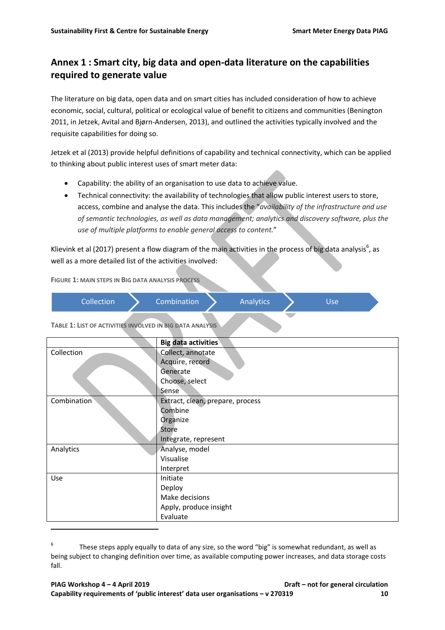# **Annex 1 : Smart city, big data and open-data literature on the capabilities required to generate value**

The literature on big data, open data and on smart cities has included consideration of how to achieve economic, social, cultural, political or ecological value of benefit to citizens and communities (Benington 2011, in Jetzek, Avital and Bjørn-Andersen, 2013), and outlined the activities typically involved and the requisite capabilities for doing so.

Jetzek et al (2013) provide helpful definitions of capability and technical connectivity, which can be applied to thinking about public interest uses of smart meter data:

- Capability: the ability of an organisation to use data to achieve value.
- Technical connectivity: the availability of technologies that allow public interest users to store, access, combine and analyse the data. This includes the "*availability of the infrastructure and use of semantic technologies, as well as data management; analytics and discovery software, plus the use of multiple platforms to enable general access to content.*"

Klievink et al (2017) present a flow diagram of the main activities in the process of big data analysis<sup>6</sup>, as well as a more detailed list of the activities involved:

**FIGURE 1: MAIN STEPS IN BIG DATA ANALYSIS PROCESS**

| <b>Collection</b> | Combination | Analytics | Use |  |
|-------------------|-------------|-----------|-----|--|
|                   |             |           |     |  |

**TABLE 1: LIST OF ACTIVITIES INVOLVED IN BIG DATA ANALYSIS**

 $\overline{a}$ 

|             | <b>Big data activities</b>       |
|-------------|----------------------------------|
| Collection  | Collect, annotate                |
|             | Acquire, record                  |
|             | Generate                         |
|             | Choose, select                   |
|             | Sense                            |
| Combination | Extract, clean, prepare, process |
|             | Combine                          |
|             | Organize                         |
|             | Store                            |
|             | Integrate, represent             |
| Analytics   | Analyse, model                   |
|             | Visualise                        |
|             | Interpret                        |
| Use         | Initiate                         |
|             | Deploy                           |
|             | Make decisions                   |
|             | Apply, produce insight           |
|             | Evaluate                         |

<sup>6</sup> These steps apply equally to data of any size, so the word "big" is somewhat redundant, as well as being subject to changing definition over time, as available computing power increases, and data storage costs fall.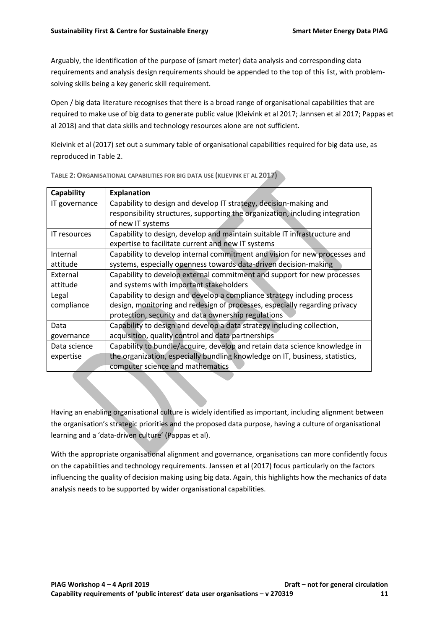Arguably, the identification of the purpose of (smart meter) data analysis and corresponding data requirements and analysis design requirements should be appended to the top of this list, with problemsolving skills being a key generic skill requirement.

Open / big data literature recognises that there is a broad range of organisational capabilities that are required to make use of big data to generate public value (Kleivink et al 2017; Jannsen et al 2017; Pappas et al 2018) and that data skills and technology resources alone are not sufficient.

Kleivink et al (2017) set out a summary table of organisational capabilities required for big data use, as reproduced i[n Table 2.](#page-10-0)

| Capability    | <b>Explanation</b>                                                            |
|---------------|-------------------------------------------------------------------------------|
| IT governance | Capability to design and develop IT strategy, decision-making and             |
|               | responsibility structures, supporting the organization, including integration |
|               | of new IT systems                                                             |
| IT resources  | Capability to design, develop and maintain suitable IT infrastructure and     |
|               | expertise to facilitate current and new IT systems                            |
| Internal      | Capability to develop internal commitment and vision for new processes and    |
| attitude      | systems, especially openness towards data-driven decision-making              |
| External      | Capability to develop external commitment and support for new processes       |
| attitude      | and systems with important stakeholders                                       |
| Legal         | Capability to design and develop a compliance strategy including process      |
| compliance    | design, monitoring and redesign of processes, especially regarding privacy    |
|               | protection, security and data ownership regulations                           |
| Data          | Capability to design and develop a data strategy including collection,        |
| governance    | acquisition, quality control and data partnerships                            |
| Data science  | Capability to bundle/acquire, develop and retain data science knowledge in    |
| expertise     | the organization, especially bundling knowledge on IT, business, statistics,  |
|               | computer science and mathematics                                              |

<span id="page-10-0"></span>**TABLE 2:ORGANISATIONAL CAPABILITIES FOR BIG DATA USE (KLIEVINK ET AL 2017)**

Having an enabling organisational culture is widely identified as important, including alignment between the organisation's strategic priorities and the proposed data purpose, having a culture of organisational learning and a 'data-driven culture' (Pappas et al).

With the appropriate organisational alignment and governance, organisations can more confidently focus on the capabilities and technology requirements. Janssen et al (2017) focus particularly on the factors influencing the quality of decision making using big data. Again, this highlights how the mechanics of data analysis needs to be supported by wider organisational capabilities.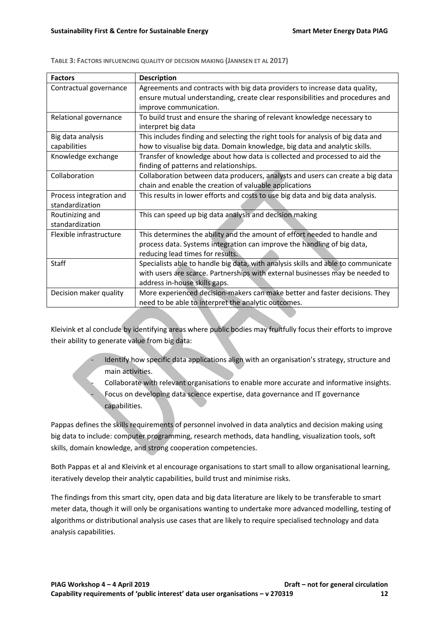| <b>Factors</b>          | <b>Description</b>                                                                |  |
|-------------------------|-----------------------------------------------------------------------------------|--|
| Contractual governance  | Agreements and contracts with big data providers to increase data quality,        |  |
|                         | ensure mutual understanding, create clear responsibilities and procedures and     |  |
|                         | improve communication.                                                            |  |
| Relational governance   | To build trust and ensure the sharing of relevant knowledge necessary to          |  |
|                         | interpret big data                                                                |  |
| Big data analysis       | This includes finding and selecting the right tools for analysis of big data and  |  |
| capabilities            | how to visualise big data. Domain knowledge, big data and analytic skills.        |  |
| Knowledge exchange      | Transfer of knowledge about how data is collected and processed to aid the        |  |
|                         | finding of patterns and relationships.                                            |  |
| Collaboration           | Collaboration between data producers, analysts and users can create a big data    |  |
|                         | chain and enable the creation of valuable applications                            |  |
| Process integration and | This results in lower efforts and costs to use big data and big data analysis.    |  |
| standardization         |                                                                                   |  |
| Routinizing and         | This can speed up big data analysis and decision making                           |  |
| standardization         |                                                                                   |  |
| Flexible infrastructure | This determines the ability and the amount of effort needed to handle and         |  |
|                         | process data. Systems integration can improve the handling of big data,           |  |
|                         | reducing lead times for results.                                                  |  |
| Staff                   | Specialists able to handle big data, with analysis skills and able to communicate |  |
|                         | with users are scarce. Partnerships with external businesses may be needed to     |  |
|                         | address in-house skills gaps.                                                     |  |
| Decision maker quality  | More experienced decision-makers can make better and faster decisions. They       |  |
|                         | need to be able to interpret the analytic outcomes.                               |  |

**TABLE 3: FACTORS INFLUENCING QUALITY OF DECISION MAKING (JANNSEN ET AL 2017)**

Kleivink et al conclude by identifying areas where public bodies may fruitfully focus their efforts to improve their ability to generate value from big data:

- Identify how specific data applications align with an organisation's strategy, structure and main activities.
	- Collaborate with relevant organisations to enable more accurate and informative insights. Focus on developing data science expertise, data governance and IT governance capabilities.

Pappas defines the skills requirements of personnel involved in data analytics and decision making using big data to include: computer programming, research methods, data handling, visualization tools, soft skills, domain knowledge, and strong cooperation competencies.

Both Pappas et al and Kleivink et al encourage organisations to start small to allow organisational learning, iteratively develop their analytic capabilities, build trust and minimise risks.

The findings from this smart city, open data and big data literature are likely to be transferable to smart meter data, though it will only be organisations wanting to undertake more advanced modelling, testing of algorithms or distributional analysis use cases that are likely to require specialised technology and data analysis capabilities.